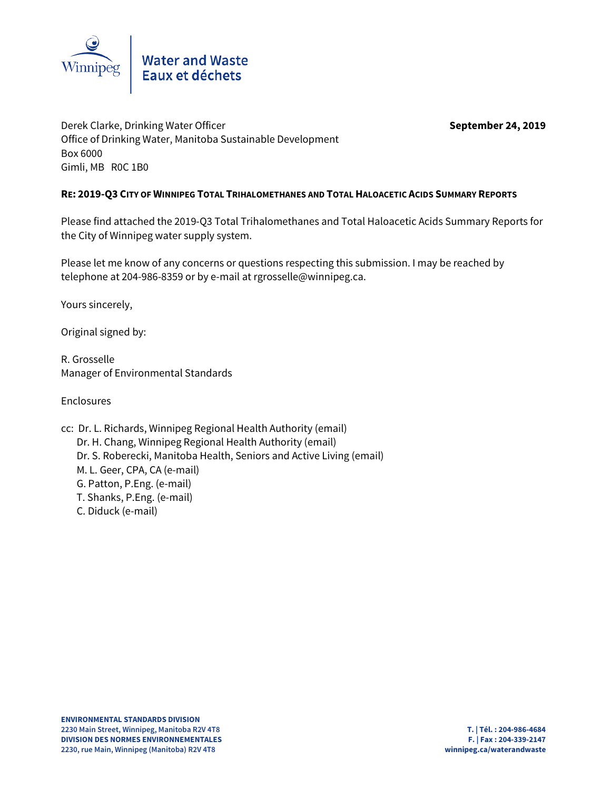

Derek Clarke, Drinking Water Officer **September 24, 2019 September 24, 2019** Office of Drinking Water, Manitoba Sustainable Development Box 6000 Gimli, MB R0C 1B0

## **RE: 2019-Q3 CITY OF WINNIPEG TOTAL TRIHALOMETHANES AND TOTAL HALOACETIC ACIDS SUMMARY REPORTS**

Please find attached the 2019-Q3 Total Trihalomethanes and Total Haloacetic Acids Summary Reports for the City of Winnipeg water supply system.

Please let me know of any concerns or questions respecting this submission. I may be reached by telephone at 204-986-8359 or by e-mail at rgrosselle@winnipeg.ca.

Yours sincerely,

Original signed by:

R. Grosselle Manager of Environmental Standards

Enclosures

cc: Dr. L. Richards, Winnipeg Regional Health Authority (email) Dr. H. Chang, Winnipeg Regional Health Authority (email) Dr. S. Roberecki, Manitoba Health, Seniors and Active Living (email) M. L. Geer, CPA, CA (e-mail) G. Patton, P.Eng. (e-mail) T. Shanks, P.Eng. (e-mail) C. Diduck (e-mail)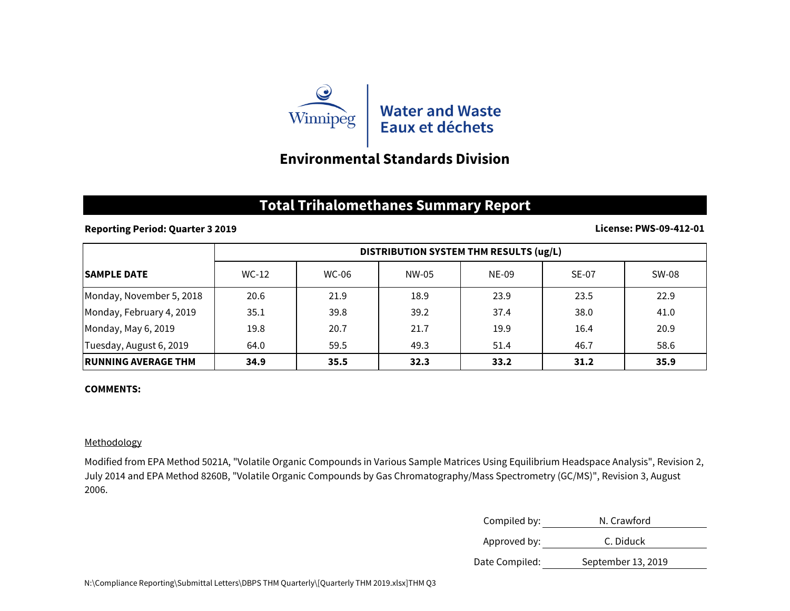

# **Environmental Standards Division**

## **Total Trihalomethanes Summary Report**

## **Reporting Period: Quarter 3 2019**

### **License: PWS-09-412-01**

|                             | DISTRIBUTION SYSTEM THM RESULTS (ug/L) |              |       |       |       |       |
|-----------------------------|----------------------------------------|--------------|-------|-------|-------|-------|
| <b>ISAMPLE DATE</b>         | WC-12                                  | <b>WC-06</b> | NW-05 | NE-09 | SE-07 | SW-08 |
| Monday, November 5, 2018    | 20.6                                   | 21.9         | 18.9  | 23.9  | 23.5  | 22.9  |
| Monday, February 4, 2019    | 35.1                                   | 39.8         | 39.2  | 37.4  | 38.0  | 41.0  |
| Monday, May 6, 2019         | 19.8                                   | 20.7         | 21.7  | 19.9  | 16.4  | 20.9  |
| Tuesday, August 6, 2019     | 64.0                                   | 59.5         | 49.3  | 51.4  | 46.7  | 58.6  |
| <b>IRUNNING AVERAGE THM</b> | 34.9                                   | 35.5         | 32.3  | 33.2  | 31.2  | 35.9  |

### **COMMENTS:**

### Methodology

Modified from EPA Method 5021A, "Volatile Organic Compounds in Various Sample Matrices Using Equilibrium Headspace Analysis", Revision 2, July 2014 and EPA Method 8260B, "Volatile Organic Compounds by Gas Chromatography/Mass Spectrometry (GC/MS)", Revision 3, August 2006.

| Compiled by:   | N. Crawford        |  |
|----------------|--------------------|--|
| Approved by:   | C. Diduck          |  |
| Date Compiled: | September 13, 2019 |  |